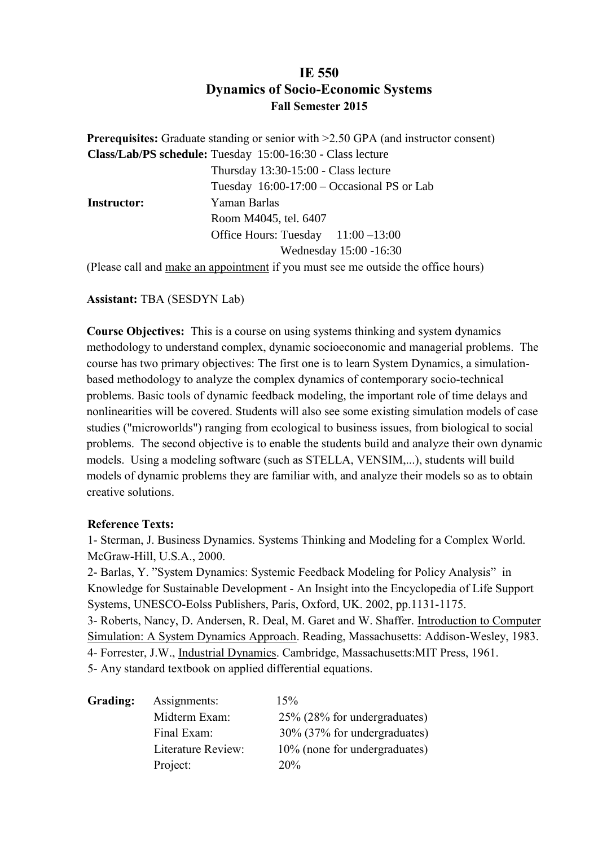## **IE 550 Dynamics of Socio-Economic Systems Fall Semester 2015**

**Prerequisites:** Graduate standing or senior with  $>2.50$  GPA (and instructor consent) **Class/Lab/PS schedule:** Tuesday 15:00-16:30 - Class lecture Thursday 13:30-15:00 - Class lecture Tuesday 16:00-17:00 – Occasional PS or Lab  **Instructor:** Yaman Barlas Room M4045, tel. 6407 Office Hours: Tuesday 11:00 –13:00 Wednesday 15:00 -16:30

(Please call and make an appointment if you must see me outside the office hours)

## **Assistant:** TBA (SESDYN Lab)

**Course Objectives:** This is a course on using systems thinking and system dynamics methodology to understand complex, dynamic socioeconomic and managerial problems. The course has two primary objectives: The first one is to learn System Dynamics, a simulationbased methodology to analyze the complex dynamics of contemporary socio-technical problems. Basic tools of dynamic feedback modeling, the important role of time delays and nonlinearities will be covered. Students will also see some existing simulation models of case studies ("microworlds") ranging from ecological to business issues, from biological to social problems. The second objective is to enable the students build and analyze their own dynamic models. Using a modeling software (such as STELLA, VENSIM,...), students will build models of dynamic problems they are familiar with, and analyze their models so as to obtain creative solutions.

## **Reference Texts:**

1- Sterman, J. Business Dynamics. Systems Thinking and Modeling for a Complex World. McGraw-Hill, U.S.A., 2000.

2- Barlas, Y. "System Dynamics: Systemic Feedback Modeling for Policy Analysis" in Knowledge for Sustainable Development - An Insight into the Encyclopedia of Life Support Systems, UNESCO-Eolss Publishers, Paris, Oxford, UK. 2002, pp.1131-1175. 3- Roberts, Nancy, D. Andersen, R. Deal, M. Garet and W. Shaffer. Introduction to Computer Simulation: A System Dynamics Approach. Reading, Massachusetts: Addison-Wesley, 1983.

4- Forrester, J.W., Industrial Dynamics. Cambridge, Massachusetts:MIT Press, 1961.

5- Any standard textbook on applied differential equations.

| Grading: | Assignments:       | 15%                           |
|----------|--------------------|-------------------------------|
|          | Midterm Exam:      | 25% (28% for undergraduates)  |
|          | Final Exam:        | 30% (37% for undergraduates)  |
|          | Literature Review: | 10% (none for undergraduates) |
|          | Project:           | 20%                           |